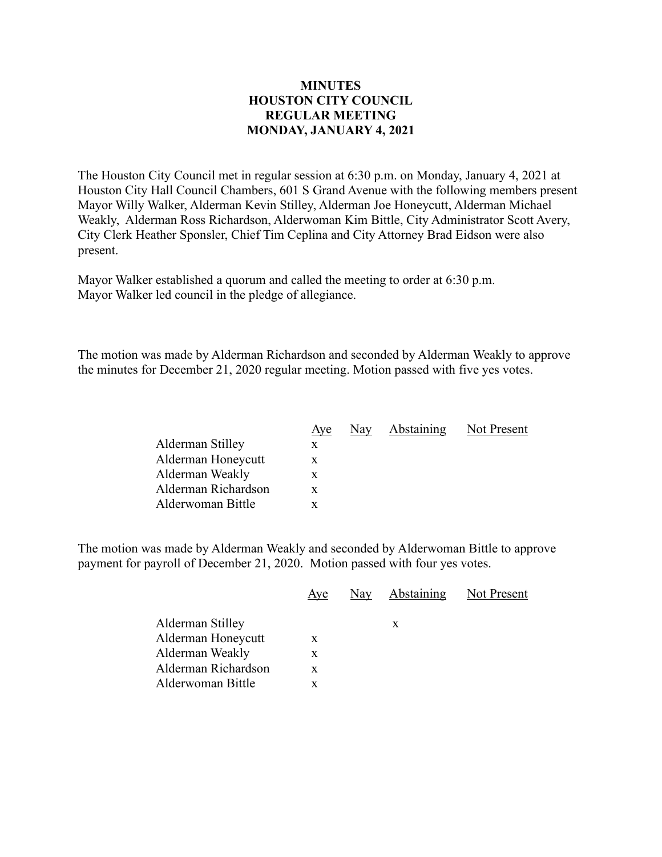## **MINUTES HOUSTON CITY COUNCIL REGULAR MEETING MONDAY, JANUARY 4, 2021**

The Houston City Council met in regular session at 6:30 p.m. on Monday, January 4, 2021 at Houston City Hall Council Chambers, 601 S Grand Avenue with the following members present Mayor Willy Walker, Alderman Kevin Stilley, Alderman Joe Honeycutt, Alderman Michael Weakly, Alderman Ross Richardson, Alderwoman Kim Bittle, City Administrator Scott Avery, City Clerk Heather Sponsler, Chief Tim Ceplina and City Attorney Brad Eidson were also present.

Mayor Walker established a quorum and called the meeting to order at 6:30 p.m. Mayor Walker led council in the pledge of allegiance.

The motion was made by Alderman Richardson and seconded by Alderman Weakly to approve the minutes for December 21, 2020 regular meeting. Motion passed with five yes votes.

|                     | Aye | Nay | Abstaining | Not Present |
|---------------------|-----|-----|------------|-------------|
| Alderman Stilley    | X   |     |            |             |
| Alderman Honeycutt  | X.  |     |            |             |
| Alderman Weakly     | X   |     |            |             |
| Alderman Richardson | X.  |     |            |             |
| Alderwoman Bittle   |     |     |            |             |

The motion was made by Alderman Weakly and seconded by Alderwoman Bittle to approve payment for payroll of December 21, 2020. Motion passed with four yes votes.

|                     | Aye | Nay | Abstaining | Not Present |
|---------------------|-----|-----|------------|-------------|
|                     |     |     |            |             |
| Alderman Stilley    |     |     | X          |             |
| Alderman Honeycutt  | X   |     |            |             |
| Alderman Weakly     | X   |     |            |             |
| Alderman Richardson | X   |     |            |             |
| Alderwoman Bittle   |     |     |            |             |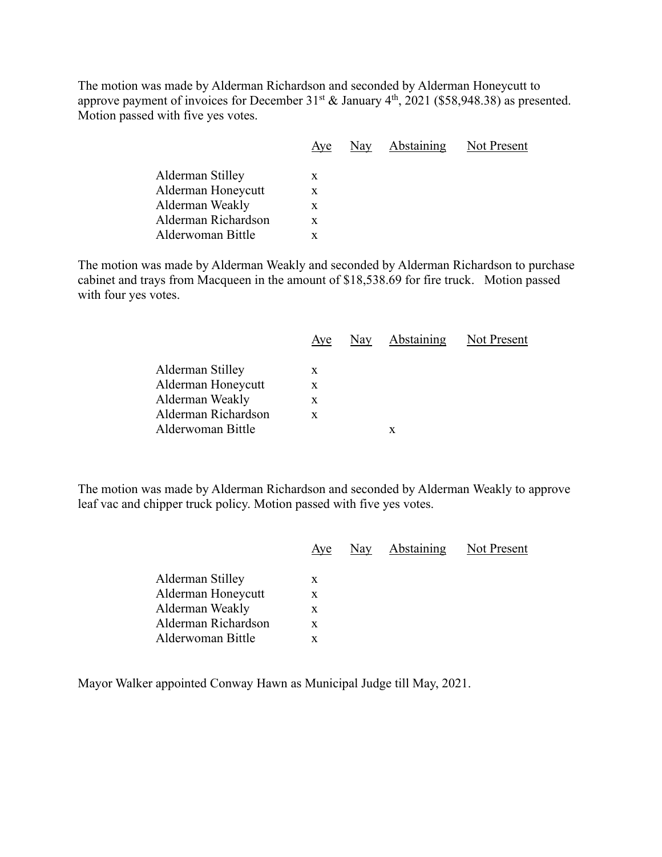The motion was made by Alderman Richardson and seconded by Alderman Honeycutt to approve payment of invoices for December  $31^{st}$  & January  $4^{th}$ , 2021 (\$58,948.38) as presented. Motion passed with five yes votes.

|                     | Aye | Nay | Abstaining | Not Present |
|---------------------|-----|-----|------------|-------------|
| Alderman Stilley    | X   |     |            |             |
| Alderman Honeycutt  | X   |     |            |             |
| Alderman Weakly     | X   |     |            |             |
| Alderman Richardson | X   |     |            |             |
| Alderwoman Bittle   |     |     |            |             |
|                     |     |     |            |             |

The motion was made by Alderman Weakly and seconded by Alderman Richardson to purchase cabinet and trays from Macqueen in the amount of \$18,538.69 for fire truck. Motion passed with four yes votes.

|                     | Aye | Nay | Abstaining Not Present |  |
|---------------------|-----|-----|------------------------|--|
|                     |     |     |                        |  |
| Alderman Stilley    | X   |     |                        |  |
| Alderman Honeycutt  | X   |     |                        |  |
| Alderman Weakly     | X   |     |                        |  |
| Alderman Richardson | X   |     |                        |  |
| Alderwoman Bittle   |     |     | x                      |  |

The motion was made by Alderman Richardson and seconded by Alderman Weakly to approve leaf vac and chipper truck policy. Motion passed with five yes votes.

|                     | Aye | Nay Abstaining | Not Present |
|---------------------|-----|----------------|-------------|
| Alderman Stilley    | X   |                |             |
| Alderman Honeycutt  | X   |                |             |
| Alderman Weakly     | X   |                |             |
| Alderman Richardson | X   |                |             |
| Alderwoman Bittle   |     |                |             |
|                     |     |                |             |

Mayor Walker appointed Conway Hawn as Municipal Judge till May, 2021.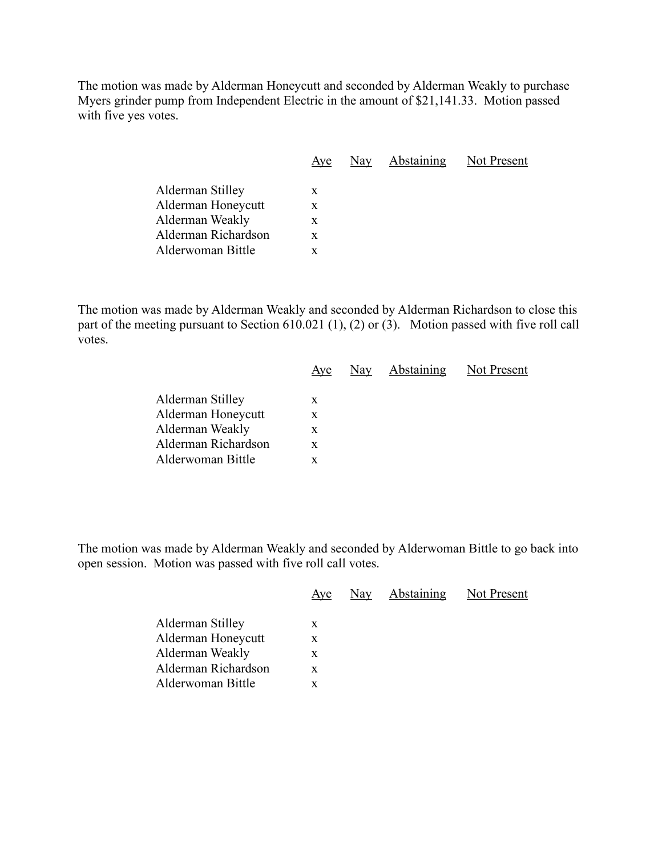The motion was made by Alderman Honeycutt and seconded by Alderman Weakly to purchase Myers grinder pump from Independent Electric in the amount of \$21,141.33. Motion passed with five yes votes.

|                     | Aye | Nay | <b>Abstaining</b> Not Present |  |
|---------------------|-----|-----|-------------------------------|--|
| Alderman Stilley    | X   |     |                               |  |
| Alderman Honeycutt  | X   |     |                               |  |
| Alderman Weakly     | X   |     |                               |  |
| Alderman Richardson | X   |     |                               |  |
| Alderwoman Bittle   | x   |     |                               |  |
|                     |     |     |                               |  |

The motion was made by Alderman Weakly and seconded by Alderman Richardson to close this part of the meeting pursuant to Section 610.021 (1), (2) or (3). Motion passed with five roll call votes.

|                     | Aye | Nay Abstaining Not Present |  |
|---------------------|-----|----------------------------|--|
| Alderman Stilley    | X   |                            |  |
| Alderman Honeycutt  | X   |                            |  |
| Alderman Weakly     | X   |                            |  |
| Alderman Richardson | X   |                            |  |
| Alderwoman Bittle   |     |                            |  |
|                     |     |                            |  |

The motion was made by Alderman Weakly and seconded by Alderwoman Bittle to go back into open session. Motion was passed with five roll call votes.

| Alderman Stilley<br>X<br>Alderman Honeycutt<br>X<br>Alderman Weakly<br>x | Aye | Nay | Abstaining | Not Present |
|--------------------------------------------------------------------------|-----|-----|------------|-------------|
| Alderman Richardson<br>X<br>Alderwoman Bittle<br>X.                      |     |     |            |             |